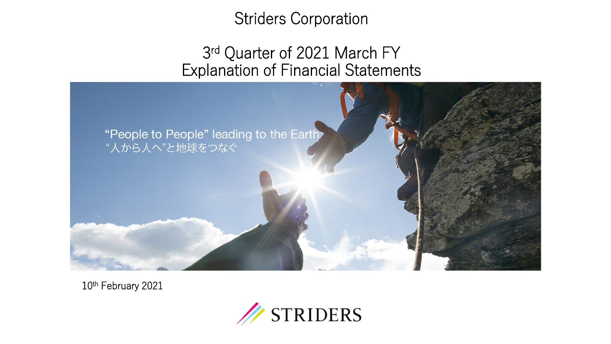# Striders Corporation

# 3<sup>rd</sup> Quarter of 2021 March FY Explanation of Financial Statements



10th February 2021

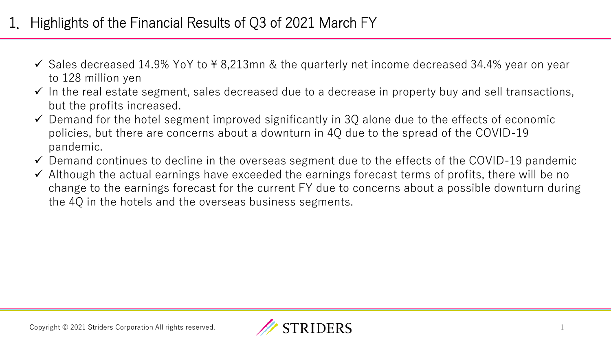# 1. Highlights of the Financial Results of Q3 of 2021 March FY

- $\checkmark$  Sales decreased 14.9% YoY to \apposiled 8.213mn & the quarterly net income decreased 34.4% year on year to 128 million yen
- $\checkmark$  In the real estate segment, sales decreased due to a decrease in property buy and sell transactions, but the profits increased.
- $\checkmark$  Demand for the hotel segment improved significantly in 3Q alone due to the effects of economic policies, but there are concerns about a downturn in 4Q due to the spread of the COVID-19 pandemic.
- $\checkmark$  Demand continues to decline in the overseas segment due to the effects of the COVID-19 pandemic
- ✓ Although the actual earnings have exceeded the earnings forecast terms of profits, there will be no change to the earnings forecast for the current FY due to concerns about a possible downturn during the 4Q in the hotels and the overseas business segments.

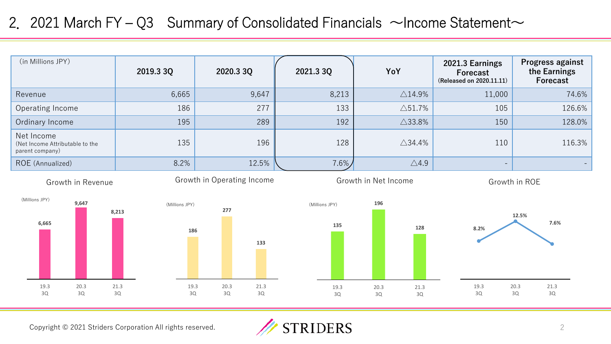### 2. 2021 March FY – Q3 Summary of Consolidated Financials  $\sim$ Income Statement $\sim$

| (in Millions JPY)                                                | 2019.3 3Q                | 2020.3 3Q                  | 2021.3 3Q      | YoY                      | 2021.3 Earnings<br><b>Forecast</b><br>(Released on 2020.11.11) | Progress against<br>the Earnings<br>Forecast |
|------------------------------------------------------------------|--------------------------|----------------------------|----------------|--------------------------|----------------------------------------------------------------|----------------------------------------------|
| Revenue                                                          | 6,665                    | 9,647                      | 8,213          | $\triangle$ 14.9%        | 11,000                                                         | 74.6%                                        |
| Operating Income                                                 | 186                      | 277                        | 133            | $\triangle$ 51.7%        | 105                                                            | 126.6%                                       |
| Ordinary Income                                                  | 195                      | 289                        | 192            | $\triangle$ 33.8%        | 150                                                            | 128.0%                                       |
| Net Income<br>(Net Income Attributable to the<br>parent company) | 135                      | 196                        | 128            | $\triangle$ 34.4%        | 110                                                            | 116.3%                                       |
| ROE (Annualized)                                                 | 8.2%                     | 12.5%                      | $7.6\%$        | $\triangle$ 4.9          | $\overline{\phantom{m}}$                                       |                                              |
| Growth in Revenue                                                |                          | Growth in Operating Income |                | Growth in Net Income     |                                                                | Growth in ROE                                |
| (Millions JPY)<br>9,647                                          | (Millions JPY)<br>8,213  | 277                        | (Millions JPY) | 196                      |                                                                | 12.5%                                        |
| 6,665                                                            | 186                      | 133                        | 135            | 128                      | 8.2%                                                           | 7.6%                                         |
| 19.3<br>20.3<br>3Q<br>3Q                                         | 21.3<br>19.3<br>3Q<br>3Q | 20.3<br>21.3<br>3Q<br>3Q   | 19.3<br>3Q     | 20.3<br>21.3<br>3Q<br>3Q | 19.3<br>3Q                                                     | 20.3<br>21.3<br>3Q<br>3Q                     |

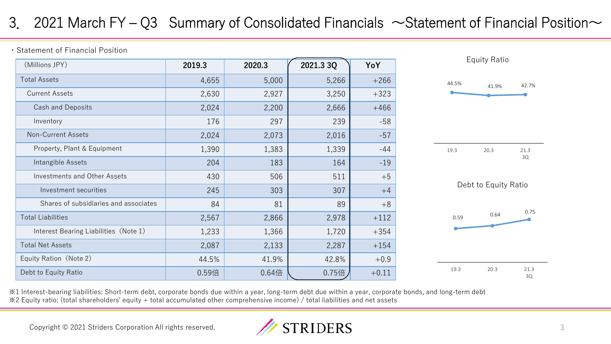# 3. 2021 March FY – Q3 Summary of Consolidated Financials  $\sim$  Statement of Financial Position $\sim$

・Statement of Financial Position

| (Millions JPY)                        | 2019.3 | 2020.3 | 2021.3 3Q | YoY     |
|---------------------------------------|--------|--------|-----------|---------|
| <b>Total Assets</b>                   | 4,655  | 5,000  | 5,266     | $+266$  |
| <b>Current Assets</b>                 | 2,630  | 2,927  | 3,250     | $+323$  |
| Cash and Deposits                     | 2,024  | 2,200  | 2,666     | $+466$  |
| Inventory                             | 176    | 297    | 239       | $-58$   |
| <b>Non-Current Assets</b>             | 2,024  | 2,073  | 2,016     | $-57$   |
| Property, Plant & Equipment           | 1,390  | 1,383  | 1,339     | $-44$   |
| Intangible Assets                     | 204    | 183    | 164       | $-19$   |
| <b>Investments and Other Assets</b>   | 430    | 506    | 511       | $+5$    |
| Investment securities                 | 245    | 303    | 307       | $+4$    |
| Shares of subsidiaries and associates | 84     | 81     | 89        | $+8$    |
| <b>Total Liabilities</b>              | 2,567  | 2,866  | 2,978     | $+112$  |
| Interest Bearing Liabilities (Note 1) | 1,233  | 1,366  | 1,720     | $+354$  |
| <b>Total Net Assets</b>               | 2,087  | 2,133  | 2,287     | $+154$  |
| Equity Ration (Note 2)                | 44.5%  | 41.9%  | 42.8%     | $+0.9$  |
| Debt to Equity Ratio                  | 0.59倍  | 0.64倍  | 0.75倍     | $+0.11$ |



※1 Interest-bearing liabilities: Short-term debt, corporate bonds due within a year, long-term debt due within a year, corporate bonds, and long-term debt ※2 Equity ratio: (total shareholders' equity + total accumulated other comprehensive income) / total liabilities and net assets

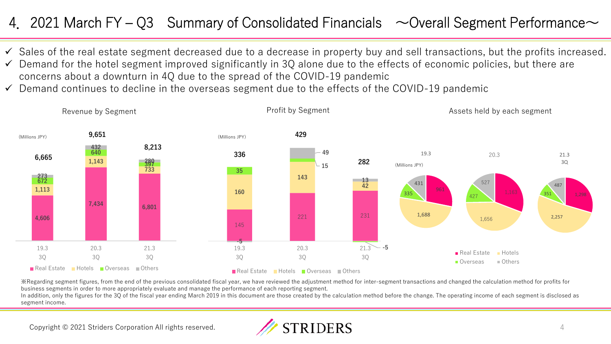# 4. 2021 March FY – Q3 Summary of Consolidated Financials  $\sim$  Overall Segment Performance $\sim$

- ✓ Sales of the real estate segment decreased due to a decrease in property buy and sell transactions, but the profits increased.
- $\checkmark$  Demand for the hotel segment improved significantly in 3Q alone due to the effects of economic policies, but there are concerns about a downturn in 4Q due to the spread of the COVID-19 pandemic
- $\checkmark$  Demand continues to decline in the overseas segment due to the effects of the COVID-19 pandemic



※Regarding segment figures, from the end of the previous consolidated fiscal year, we have reviewed the adjustment method for inter-segment transactions and changed the calculation method for profits for business segments in order to more appropriately evaluate and manage the performance of each reporting segment.

In addition, only the figures for the 3Q of the fiscal year ending March 2019 in this document are those created by the calculation method before the change. The operating income of each segment is disclosed as segment income.

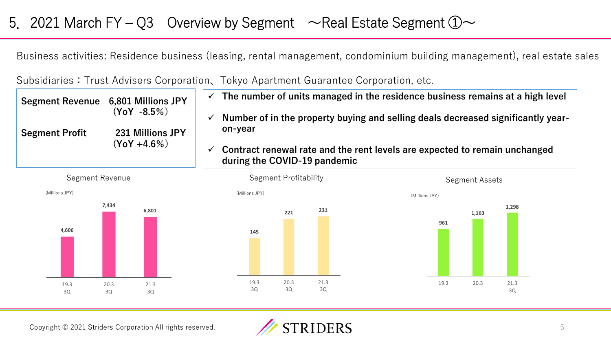### 5. 2021 March FY – Q3 Overview by Segment  $\sim$  Real Estate Segment  $\textcircled{1}\sim$

Business activities: Residence business (leasing, rental management, condominium building management), real estate sales

Subsidiaries:Trust Advisers Corporation、Tokyo Apartment Guarantee Corporation, etc.

| <b>Segment Revenue</b> | 6,801 Millions JPY<br>$(YoY - 8.5%)$ | $\checkmark$ | The number of units managed in the residence business remains at a high level                              |
|------------------------|--------------------------------------|--------------|------------------------------------------------------------------------------------------------------------|
|                        |                                      | $\checkmark$ | Number of in the property buying and selling deals decreased significantly year-                           |
| <b>Segment Profit</b>  | 231 Millions JPY<br>$(Y_0Y + 4.6\%)$ |              | on-year                                                                                                    |
|                        |                                      | $\checkmark$ | Contract renewal rate and the rent levels are expected to remain unchanged<br>during the COVID-19 pandemic |









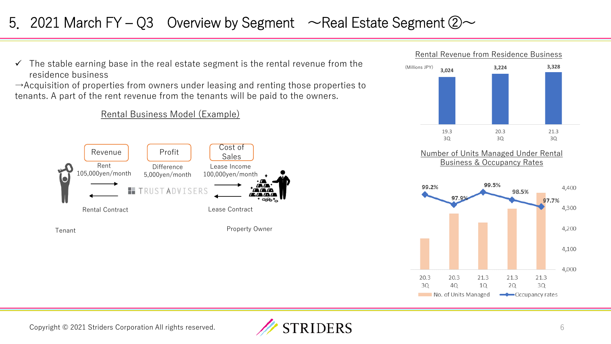# 5. 2021 March FY – Q3 Overview by Segment  $\sim$  Real Estate Segment  $\oslash \sim$

 $\checkmark$  The stable earning base in the real estate segment is the rental revenue from the residence business

 $\rightarrow$ Acquisition of properties from owners under leasing and renting those properties to tenants. A part of the rent revenue from the tenants will be paid to the owners.

Rental Business Model (Example)





99.5% 99.2% 4.400 98.5% 97.7% 4,300 4,200 4,100 4,000 21.3 20.3 20.3 21.3 21.3 30 30 40 10 **2Q** No. of Units Managed — Occupancy rates

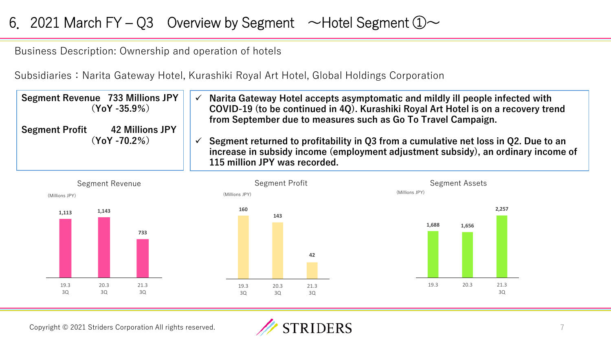# 6. 2021 March FY – Q3 Overview by Segment  $\sim$  Hotel Segment  $\mathbb{O}\sim$

Business Description: Ownership and operation of hotels

Subsidiaries: Narita Gateway Hotel, Kurashiki Royal Art Hotel, Global Holdings Corporation

| Segment Revenue 733 Millions JPY | Narita Gateway Hotel accepts asymptomatic and mildly ill people infected with                                                                                                                             |
|----------------------------------|-----------------------------------------------------------------------------------------------------------------------------------------------------------------------------------------------------------|
| $(YoY - 35.9\%)$                 | $\checkmark$                                                                                                                                                                                              |
| <b>42 Millions JPY</b>           | COVID-19 (to be continued in 4Q). Kurashiki Royal Art Hotel is on a recovery trend                                                                                                                        |
| <b>Segment Profit</b>            | from September due to measures such as Go To Travel Campaign.                                                                                                                                             |
| $(YoY - 70.2\%)$                 | Segment returned to profitability in Q3 from a cumulative net loss in Q2. Due to an<br>increase in subsidy income (employment adjustment subsidy), an ordinary income of<br>115 million JPY was recorded. |



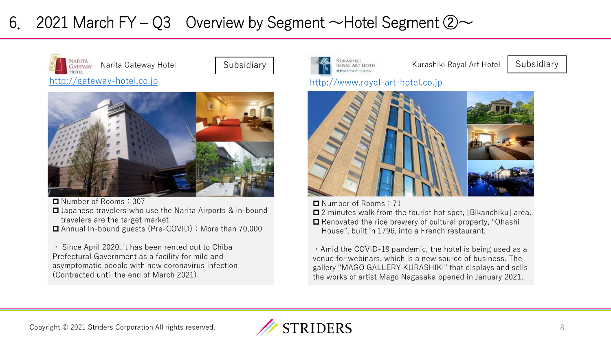# 6. 2021 March FY – Q3 Overview by Segment  $\sim$  Hotel Segment  $\oslash \sim$







■ Number of Rooms: 307

- **□** Japanese travelers who use the Narita Airports & in-bound travelers are the target market
- Annual In-bound guests (Pre-COVID): More than 70.000

・ Since April 2020, it has been rented out to Chiba Prefectural Government as a facility for mild and asymptomatic people with new coronavirus infection (Contracted until the end of March 2021).





■ Number of Rooms: 71

■ 2 minutes walk from the tourist hot spot. [Bikanchiku] area. ■ Renovated the rice brewery of cultural property, "Ohashi

House", built in 1796, into a French restaurant.

・Amid the COVID-19 pandemic, the hotel is being used as a venue for webinars, which is a new source of business. The gallery "MAGO GALLERY KURASHIKI" that displays and sells the works of artist Mago Nagasaka opened in January 2021.

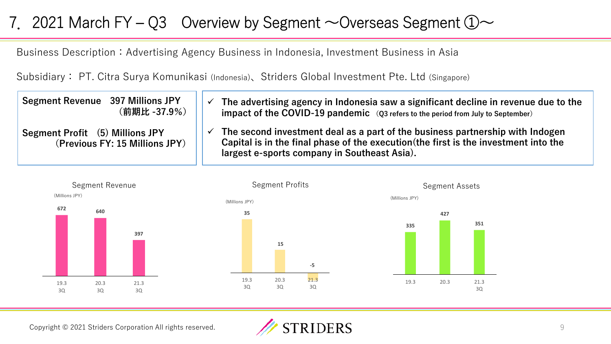# 7. 2021 March FY – Q3 Overview by Segment  $\sim$  Overseas Segment  $\textcircled{1}\sim$

Business Description: Advertising Agency Business in Indonesia, Investment Business in Asia

Subsidiary: PT. Citra Surya Komunikasi (Indonesia)、Striders Global Investment Pte. Ltd (Singapore)

| <b>Segment Revenue</b> 397 Millions JPY<br>(前期比 -37.9%)           | The advertising agency in Indonesia saw a significant decline in revenue due to the<br>impact of the COVID-19 pandemic $(Q3$ refers to the period from July to September)                                             |
|-------------------------------------------------------------------|-----------------------------------------------------------------------------------------------------------------------------------------------------------------------------------------------------------------------|
| Segment Profit (5) Millions JPY<br>(Previous FY: 15 Millions JPY) | The second investment deal as a part of the business partnership with Indogen<br>Capital is in the final phase of the execution (the first is the investment into the<br>largest e-sports company in Southeast Asia). |







19.3 20.3 21.3

3Q

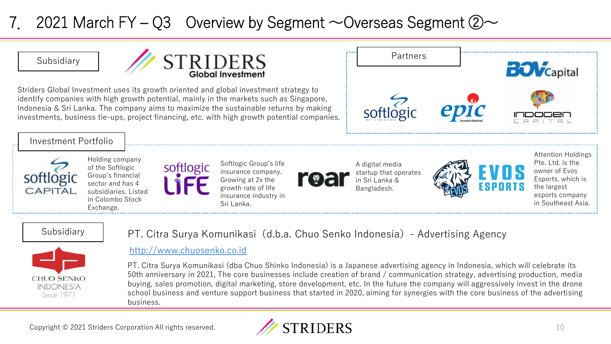# 2021 March FY – Q3 Overview by Segment  $\sim$  Overseas Segment  $\oslash \sim$



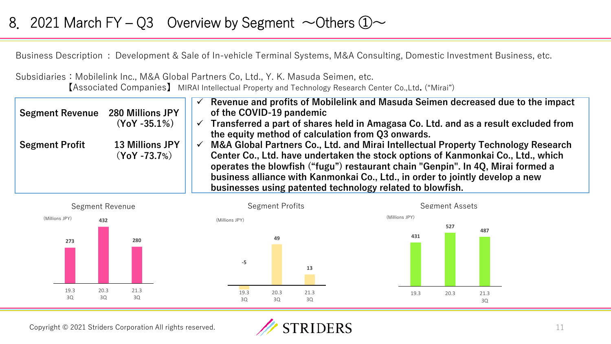### 8. 2021 March FY – Q3 Overview by Segment  $\sim$  Others  $\textcircled{1}\sim$

Business Description : Development & Sale of In-vehicle Terminal Systems, M&A Consulting, Domestic Investment Business, etc.

Subsidiaries: Mobilelink Inc., M&A Global Partners Co, Ltd., Y. K. Masuda Seimen, etc. 【Associated Companies】 MIRAI Intellectual Property and Technology Research Center Co.,Ltd**.** ("Mirai")

| <b>Segment Revenue 280 Millions JPY</b> |                        |              | Revenue and profits of Mobilelink and Masuda Seimen decreased due to the impact<br>of the COVID-19 pandemic                                                         |
|-----------------------------------------|------------------------|--------------|---------------------------------------------------------------------------------------------------------------------------------------------------------------------|
|                                         | $(YoY - 35.1\%)$       | $\checkmark$ | Transferred a part of shares held in Amagasa Co. Ltd. and as a result excluded from                                                                                 |
|                                         |                        |              | the equity method of calculation from Q3 onwards.                                                                                                                   |
| <b>Segment Profit</b>                   | <b>13 Millions JPY</b> | $\checkmark$ | M&A Global Partners Co., Ltd. and Mirai Intellectual Property Technology Research                                                                                   |
|                                         | $(YoY - 73.7%)$        |              | Center Co., Ltd. have undertaken the stock options of Kanmonkai Co., Ltd., which<br>operates the blowfish ("fugu") restaurant chain "Genpin". In 4Q, Mirai formed a |
|                                         |                        |              | business alliance with Kanmonkai Co., Ltd., in order to jointly develop a new<br>businesses using patented technology related to blowfish.                          |



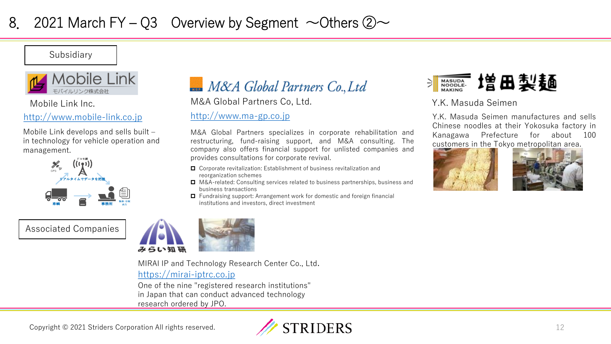Subsidiary



### [http://www.mobile-link.co.jp](http://www.mobile-link.co.jp/) [http://www.ma-gp.co.jp](http://www.ma-gp.co.jp/)

Mobile Link develops and sells built – in technology for vehicle operation and management.



Associated Companies



Mobile Link Inc. M&A Global Partners Co, Ltd. Y.K. Masuda Seimen

M&A Global Partners specializes in corporate rehabilitation and restructuring, fund-raising support, and M&A consulting. The company also offers financial support for unlisted companies and provides consultations for corporate revival.

- Corporate revitalization: Establishment of business revitalization and reorganization schemes
- M&A-related: Consulting services related to business partnerships, business and business transactions
- Fundraising support: Arrangement work for domestic and foreign financial institutions and investors, direct investment



Y.K. Masuda Seimen manufactures and sells Chinese noodles at their Yokosuka factory in Kanagawa Prefecture for about 100 customers in the Tokyo metropolitan area.







[https://mirai-iptrc.co.jp](https://mirai-iptrc.co.jp/) MIRAI IP and Technology Research Center Co., Ltd.

One of the nine "registered research institutions" in Japan that can conduct advanced technology research ordered by JPO.